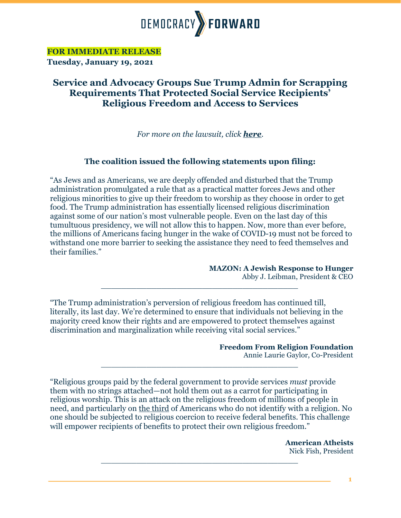

**FOR IMMEDIATE RELEASE**

**Tuesday, January 19, 2021**

## **Service and Advocacy Groups Sue Trump Admin for Scrapping Requirements That Protected Social Service Recipients' Religious Freedom and Access to Services**

*For more on the lawsuit, click [here](https://democracyforward.org/press/service-advocacy-groups-sue-trump-admin-for-scrapping-protections-for-recipients-religious-freedom-and-access-to-services/).*

## **The coalition issued the following statements upon filing:**

"As Jews and as Americans, we are deeply offended and disturbed that the Trump administration promulgated a rule that as a practical matter forces Jews and other religious minorities to give up their freedom to worship as they choose in order to get food. The Trump administration has essentially licensed religious discrimination against some of our nation's most vulnerable people. Even on the last day of this tumultuous presidency, we will not allow this to happen. Now, more than ever before, the millions of Americans facing hunger in the wake of COVID-19 must not be forced to withstand one more barrier to seeking the assistance they need to feed themselves and their families."

**MAZON: A Jewish Response to Hunger**

Abby J. Leibman, President & CEO

"The Trump administration's perversion of religious freedom has continued till, literally, its last day. We're determined to ensure that individuals not believing in the majority creed know their rights and are empowered to protect themselves against discrimination and marginalization while receiving vital social services."

*\_\_\_\_\_\_\_\_\_\_\_\_\_\_\_\_\_\_\_\_\_\_\_\_\_\_\_\_\_\_\_\_\_\_\_\_\_\_\_*

**Freedom From Religion Foundation**

Annie Laurie Gaylor, Co-President

"Religious groups paid by the federal government to provide services *must* provide them with no strings attached—not hold them out as a carrot for participating in religious worship. This is an attack on the religious freedom of millions of people in need, and particularly on [the third](https://religioninpublic.blog/2020/10/07/the-decline-of-religion-continues-nones-gain-3-percent-in-one-year/) of Americans who do not identify with a religion. No one should be subjected to religious coercion to receive federal benefits. This challenge will empower recipients of benefits to protect their own religious freedom."

*\_\_\_\_\_\_\_\_\_\_\_\_\_\_\_\_\_\_\_\_\_\_\_\_\_\_\_\_\_\_\_\_\_\_\_\_\_\_\_*

*\_\_\_\_\_\_\_\_\_\_\_\_\_\_\_\_\_\_\_\_\_\_\_\_\_\_\_\_\_\_\_\_\_\_\_\_\_\_\_*

**American Atheists** Nick Fish, President

**1**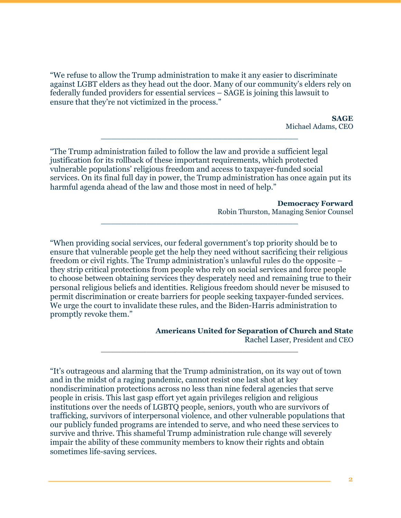"We refuse to allow the Trump administration to make it any easier to discriminate against LGBT elders as they head out the door. Many of our community's elders rely on federally funded providers for essential services – SAGE is joining this lawsuit to ensure that they're not victimized in the process."

> **SAGE** Michael Adams, CEO

"The Trump administration failed to follow the law and provide a sufficient legal justification for its rollback of these important requirements, which protected vulnerable populations' religious freedom and access to taxpayer-funded social services. On its final full day in power, the Trump administration has once again put its harmful agenda ahead of the law and those most in need of help."

*\_\_\_\_\_\_\_\_\_\_\_\_\_\_\_\_\_\_\_\_\_\_\_\_\_\_\_\_\_\_\_\_\_\_\_\_\_\_\_*

*\_\_\_\_\_\_\_\_\_\_\_\_\_\_\_\_\_\_\_\_\_\_\_\_\_\_\_\_\_\_\_\_\_\_\_\_\_\_\_*

**Democracy Forward** Robin Thurston, Managing Senior Counsel

"When providing social services, our federal government's top priority should be to ensure that vulnerable people get the help they need without sacrificing their religious freedom or civil rights. The Trump administration's unlawful rules do the opposite – they strip critical protections from people who rely on social services and force people to choose between obtaining services they desperately need and remaining true to their personal religious beliefs and identities. Religious freedom should never be misused to permit discrimination or create barriers for people seeking taxpayer-funded services. We urge the court to invalidate these rules, and the Biden-Harris administration to promptly revoke them."

*\_\_\_\_\_\_\_\_\_\_\_\_\_\_\_\_\_\_\_\_\_\_\_\_\_\_\_\_\_\_\_\_\_\_\_\_\_\_\_*

**Americans United for Separation of Church and State**

Rachel Laser, President and CEO

"It's outrageous and alarming that the Trump administration, on its way out of town and in the midst of a raging pandemic, cannot resist one last shot at key nondiscrimination protections across no less than nine federal agencies that serve people in crisis. This last gasp effort yet again privileges religion and religious institutions over the needs of LGBTQ people, seniors, youth who are survivors of trafficking, survivors of interpersonal violence, and other vulnerable populations that our publicly funded programs are intended to serve, and who need these services to survive and thrive. This shameful Trump administration rule change will severely impair the ability of these community members to know their rights and obtain sometimes life-saving services.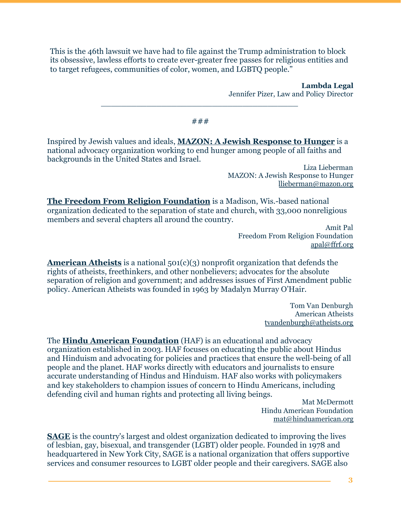This is the 46th lawsuit we have had to file against the Trump administration to block its obsessive, lawless efforts to create ever-greater free passes for religious entities and to target refugees, communities of color, women, and LGBTQ people."

> **Lambda Legal** Jennifer Pizer, Law and Policy Director

###

*\_\_\_\_\_\_\_\_\_\_\_\_\_\_\_\_\_\_\_\_\_\_\_\_\_\_\_\_\_\_\_\_\_\_\_\_\_\_\_*

Inspired by Jewish values and ideals, **[MAZON: A Jewish Response to Hunger](https://mazon.org/)** is a national advocacy organization working to end hunger among people of all faiths and backgrounds in the United States and Israel.

> Liza Lieberman MAZON: A Jewish Response to Hunger [llieberman@mazon.org](mailto:llieberman@mazon.org)

**[The Freedom From Religion Foundation](https://ffrf.org/)** is a Madison, Wis.-based national organization dedicated to the separation of state and church, with 33,000 nonreligious members and several chapters all around the country.

Amit Pal Freedom From Religion Foundation [apal@ffrf.org](mailto:apal@ffrf.org)

**[American Atheists](https://www.atheists.org/)** is a national 501(c)(3) nonprofit organization that defends the rights of atheists, freethinkers, and other nonbelievers; advocates for the absolute separation of religion and government; and addresses issues of First Amendment public policy. American Atheists was founded in 1963 by Madalyn Murray O'Hair.

> Tom Van Denburgh American Atheists [tvandenburgh@atheists.org](mailto:tvandenburgh@atheists.org)

The **[Hindu American Foundation](https://www.hinduamerican.org/)** (HAF) is an educational and advocacy organization established in 2003. HAF focuses on educating the public about Hindus and Hinduism and advocating for policies and practices that ensure the well-being of all people and the planet. HAF works directly with educators and journalists to ensure accurate understanding of Hindus and Hinduism. HAF also works with policymakers and key stakeholders to champion issues of concern to Hindu Americans, including defending civil and human rights and protecting all living beings.

> Mat McDermott Hindu American Foundation [mat@hinduamerican.org](mailto:mat@hinduamerican.org)

**[SAGE](https://www.sageusa.org/)** is the country's largest and oldest organization dedicated to improving the lives of lesbian, gay, bisexual, and transgender (LGBT) older people. Founded in 1978 and headquartered in New York City, SAGE is a national organization that offers supportive services and consumer resources to LGBT older people and their caregivers. SAGE also